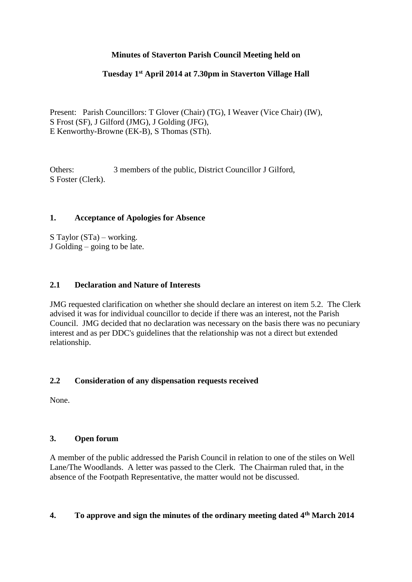# **Minutes of Staverton Parish Council Meeting held on**

## **Tuesday 1st April 2014 at 7.30pm in Staverton Village Hall**

Present: Parish Councillors: T Glover (Chair) (TG), I Weaver (Vice Chair) (IW), S Frost (SF), J Gilford (JMG), J Golding (JFG), E Kenworthy-Browne (EK-B), S Thomas (STh).

Others: 3 members of the public, District Councillor J Gilford, S Foster (Clerk).

## **1. Acceptance of Apologies for Absence**

S Taylor (STa) – working. J Golding – going to be late.

### **2.1 Declaration and Nature of Interests**

JMG requested clarification on whether she should declare an interest on item 5.2. The Clerk advised it was for individual councillor to decide if there was an interest, not the Parish Council. JMG decided that no declaration was necessary on the basis there was no pecuniary interest and as per DDC's guidelines that the relationship was not a direct but extended relationship.

### **2.2 Consideration of any dispensation requests received**

None.

### **3. Open forum**

A member of the public addressed the Parish Council in relation to one of the stiles on Well Lane/The Woodlands. A letter was passed to the Clerk. The Chairman ruled that, in the absence of the Footpath Representative, the matter would not be discussed.

# **4. To approve and sign the minutes of the ordinary meeting dated 4th March 2014**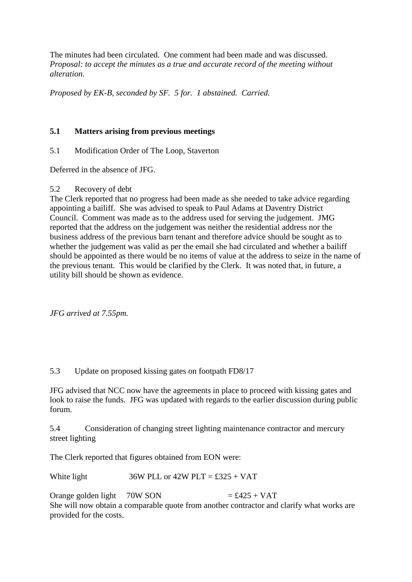The minutes had been circulated. One comment had been made and was discussed. *Proposal: to accept the minutes as a true and accurate record of the meeting without alteration.*

*Proposed by EK-B, seconded by SF. 5 for. 1 abstained. Carried.*

### **5.1 Matters arising from previous meetings**

# 5.1 Modification Order of The Loop, Staverton

Deferred in the absence of JFG.

### 5.2 Recovery of debt

The Clerk reported that no progress had been made as she needed to take advice regarding appointing a bailiff. She was advised to speak to Paul Adams at Daventry District Council. Comment was made as to the address used for serving the judgement. JMG reported that the address on the judgement was neither the residential address nor the business address of the previous barn tenant and therefore advice should be sought as to whether the judgement was valid as per the email she had circulated and whether a bailiff should be appointed as there would be no items of value at the address to seize in the name of the previous tenant. This would be clarified by the Clerk. It was noted that, in future, a utility bill should be shown as evidence.

*JFG arrived at 7.55pm.*

### 5.3 Update on proposed kissing gates on footpath FD8/17

JFG advised that NCC now have the agreements in place to proceed with kissing gates and look to raise the funds. JFG was updated with regards to the earlier discussion during public forum.

5.4 Consideration of changing street lighting maintenance contractor and mercury street lighting

The Clerk reported that figures obtained from EON were:

White light  $36W$  PLL or  $42W$  PLT = £325 + VAT

Orange golden light  $70W$  SON  $= £425 + VAT$ She will now obtain a comparable quote from another contractor and clarify what works are provided for the costs.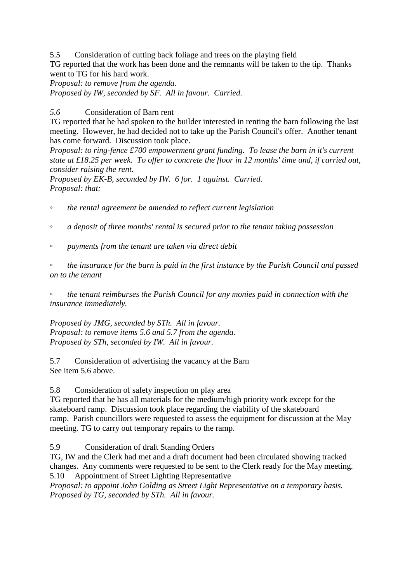5.5 Consideration of cutting back foliage and trees on the playing field TG reported that the work has been done and the remnants will be taken to the tip. Thanks went to TG for his hard work.

*Proposal: to remove from the agenda. Proposed by IW, seconded by SF. All in favour. Carried.*

*5.6* Consideration of Barn rent

TG reported that he had spoken to the builder interested in renting the barn following the last meeting. However, he had decided not to take up the Parish Council's offer. Another tenant has come forward. Discussion took place.

*Proposal: to ring-fence £700 empowerment grant funding. To lease the barn in it's current state at £18.25 per week. To offer to concrete the floor in 12 months' time and, if carried out, consider raising the rent.*

*Proposed by EK-B, seconded by IW. 6 for. 1 against. Carried. Proposal: that:*

◦ *the rental agreement be amended to reflect current legislation*

- *a deposit of three months' rental is secured prior to the tenant taking possession*
- *payments from the tenant are taken via direct debit*

◦ *the insurance for the barn is paid in the first instance by the Parish Council and passed on to the tenant*

◦ *the tenant reimburses the Parish Council for any monies paid in connection with the insurance immediately.*

*Proposed by JMG, seconded by STh. All in favour. Proposal: to remove items 5.6 and 5.7 from the agenda. Proposed by STh, seconded by IW. All in favour.*

5.7 Consideration of advertising the vacancy at the Barn See item 5.6 above.

5.8 Consideration of safety inspection on play area

TG reported that he has all materials for the medium/high priority work except for the skateboard ramp. Discussion took place regarding the viability of the skateboard ramp. Parish councillors were requested to assess the equipment for discussion at the May meeting. TG to carry out temporary repairs to the ramp.

5.9 Consideration of draft Standing Orders

TG, IW and the Clerk had met and a draft document had been circulated showing tracked changes. Any comments were requested to be sent to the Clerk ready for the May meeting. 5.10 Appointment of Street Lighting Representative

*Proposal: to appoint John Golding as Street Light Representative on a temporary basis. Proposed by TG, seconded by STh. All in favour.*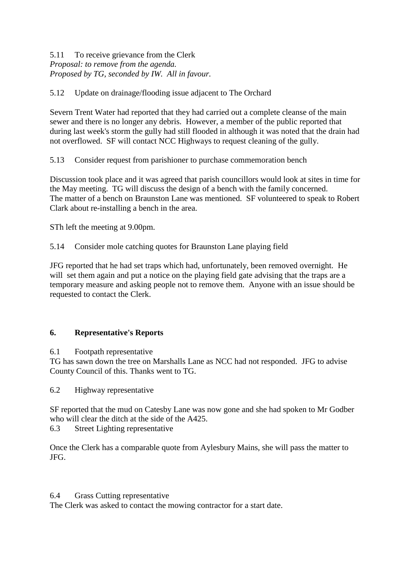## 5.11 To receive grievance from the Clerk *Proposal: to remove from the agenda. Proposed by TG, seconded by IW. All in favour.*

# 5.12 Update on drainage/flooding issue adjacent to The Orchard

Severn Trent Water had reported that they had carried out a complete cleanse of the main sewer and there is no longer any debris. However, a member of the public reported that during last week's storm the gully had still flooded in although it was noted that the drain had not overflowed. SF will contact NCC Highways to request cleaning of the gully.

5.13 Consider request from parishioner to purchase commemoration bench

Discussion took place and it was agreed that parish councillors would look at sites in time for the May meeting. TG will discuss the design of a bench with the family concerned. The matter of a bench on Braunston Lane was mentioned. SF volunteered to speak to Robert Clark about re-installing a bench in the area.

STh left the meeting at 9.00pm.

5.14 Consider mole catching quotes for Braunston Lane playing field

JFG reported that he had set traps which had, unfortunately, been removed overnight. He will set them again and put a notice on the playing field gate advising that the traps are a temporary measure and asking people not to remove them. Anyone with an issue should be requested to contact the Clerk.

### **6. Representative's Reports**

6.1 Footpath representative

TG has sawn down the tree on Marshalls Lane as NCC had not responded. JFG to advise County Council of this. Thanks went to TG.

6.2 Highway representative

SF reported that the mud on Catesby Lane was now gone and she had spoken to Mr Godber who will clear the ditch at the side of the A425.

6.3 Street Lighting representative

Once the Clerk has a comparable quote from Aylesbury Mains, she will pass the matter to JFG.

#### 6.4 Grass Cutting representative

The Clerk was asked to contact the mowing contractor for a start date.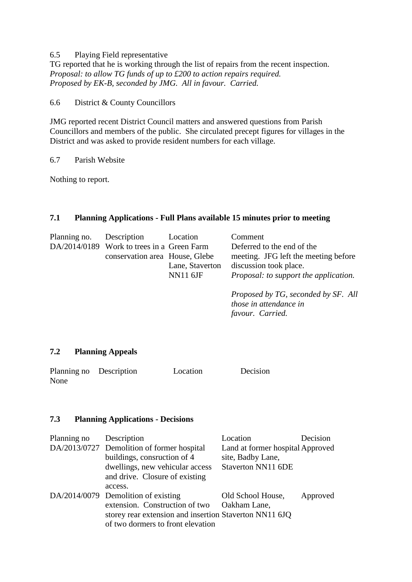#### 6.5 Playing Field representative

TG reported that he is working through the list of repairs from the recent inspection. *Proposal: to allow TG funds of up to £200 to action repairs required. Proposed by EK-B, seconded by JMG. All in favour. Carried.*

6.6 District & County Councillors

JMG reported recent District Council matters and answered questions from Parish Councillors and members of the public. She circulated precept figures for villages in the District and was asked to provide resident numbers for each village.

6.7 Parish Website

Nothing to report.

#### **7.1 Planning Applications - Full Plans available 15 minutes prior to meeting**

| Planning no. Description |                                            | Location        | Comment                                      |
|--------------------------|--------------------------------------------|-----------------|----------------------------------------------|
|                          | DA/2014/0189 Work to trees in a Green Farm |                 | Deferred to the end of the                   |
|                          | conservation area House, Glebe             |                 | meeting. JFG left the meeting before         |
|                          |                                            | Lane, Staverton | discussion took place.                       |
|                          |                                            | <b>NN11 6JF</b> | <i>Proposal: to support the application.</i> |
|                          |                                            |                 |                                              |

*Proposed by TG, seconded by SF. All those in attendance in favour. Carried.*

#### **7.2 Planning Appeals**

| Planning no Description | Location | Decision |
|-------------------------|----------|----------|
| None                    |          |          |

#### **7.3 Planning Applications - Decisions**

| Planning no | Description<br>DA/2013/0727 Demolition of former hospital<br>buildings, consruction of 4<br>dwellings, new vehicular access<br>and drive. Closure of existing                   | Location<br>Land at former hospital Approved<br>site, Badby Lane,<br>Staverton NN11 6DE | Decision |
|-------------|---------------------------------------------------------------------------------------------------------------------------------------------------------------------------------|-----------------------------------------------------------------------------------------|----------|
|             | access.<br>DA/2014/0079 Demolition of existing<br>extension. Construction of two<br>storey rear extension and insertion Staverton NN11 6JQ<br>of two dormers to front elevation | Old School House,<br>Oakham Lane,                                                       | Approved |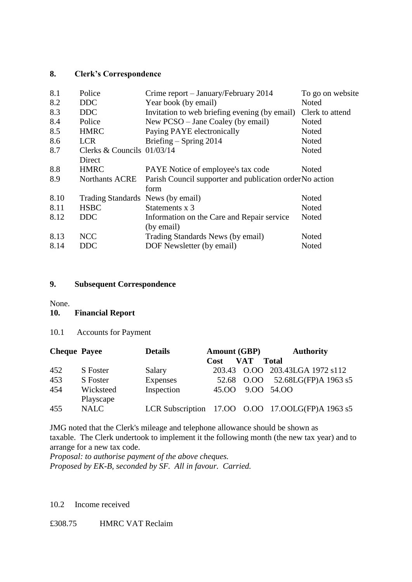### **8. Clerk's Correspondence**

| 8.1  | Police                            | Crime report – January/February 2014                             | To go on website |
|------|-----------------------------------|------------------------------------------------------------------|------------------|
| 8.2  | DDC                               | Year book (by email)                                             | Noted            |
| 8.3  | <b>DDC</b>                        | Invitation to web briefing evening (by email)                    | Clerk to attend  |
| 8.4  | Police                            | New PCSO – Jane Coaley (by email)                                | Noted            |
| 8.5  | <b>HMRC</b>                       | Paying PAYE electronically                                       | Noted            |
| 8.6  | <b>LCR</b>                        | Briefing $-$ Spring 2014                                         | Noted            |
| 8.7  | Clerks & Councils 01/03/14        |                                                                  | Noted            |
|      | Direct                            |                                                                  |                  |
| 8.8  | <b>HMRC</b>                       | PAYE Notice of employee's tax code                               | Noted            |
| 8.9  | <b>Northants ACRE</b>             | Parish Council supporter and publication order No action<br>form |                  |
| 8.10 | Trading Standards News (by email) |                                                                  | Noted            |
| 8.11 | <b>HSBC</b>                       | Statements x 3                                                   | Noted            |
| 8.12 | DDC.                              | Information on the Care and Repair service                       | Noted            |
|      |                                   | (by email)                                                       |                  |
| 8.13 | <b>NCC</b>                        | Trading Standards News (by email)                                | Noted            |
| 8.14 | <b>DDC</b>                        | DOF Newsletter (by email)                                        | Noted            |
|      |                                   |                                                                  |                  |

### **9. Subsequent Correspondence**

None.

#### **10. Financial Report**

10.1 Accounts for Payment

| <b>Cheque Payee</b> |                        | <b>Details</b> | <b>Amount (GBP)</b> |            | <b>Authority</b>                                 |
|---------------------|------------------------|----------------|---------------------|------------|--------------------------------------------------|
|                     |                        |                | Cost                | <b>VAT</b> | <b>Total</b>                                     |
| 452                 | S Foster               | Salary         |                     |            | 203.43 O.OO 203.43LGA 1972 s112                  |
| 453                 | S Foster               | Expenses       | 52.68               |            | $0.00$ 52.68LG(FP)A 1963 s5                      |
| 454                 | Wicksteed<br>Playscape | Inspection     | 45.OO               | 9.00 54.00 |                                                  |
| 455                 | <b>NALC</b>            |                |                     |            | LCR Subscription 17.00 0.00 17.00LG(FP)A 1963 s5 |

JMG noted that the Clerk's mileage and telephone allowance should be shown as taxable. The Clerk undertook to implement it the following month (the new tax year) and to arrange for a new tax code.

*Proposal: to authorise payment of the above cheques. Proposed by EK-B, seconded by SF. All in favour. Carried.*

#### 10.2 Income received

## £308.75 HMRC VAT Reclaim